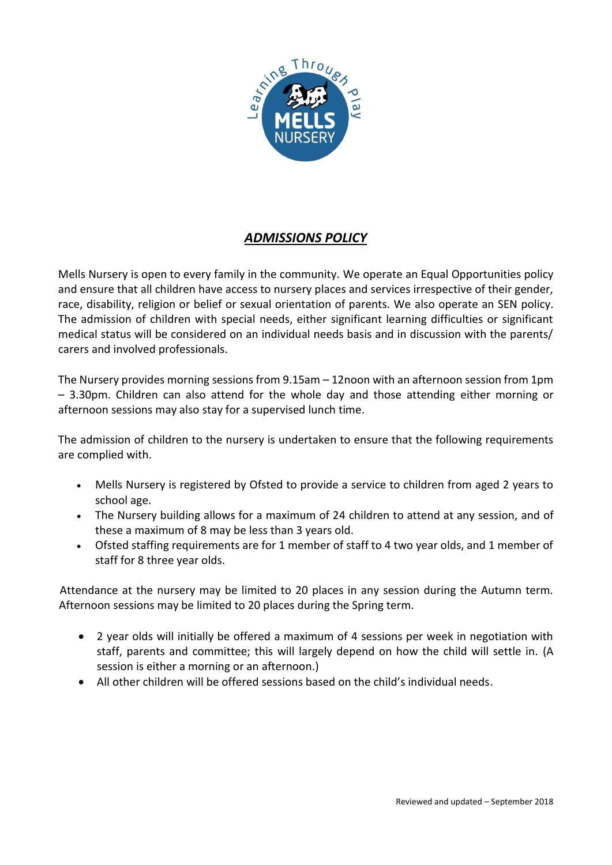

# *ADMISSIONS POLICY*

Mells Nursery is open to every family in the community. We operate an Equal Opportunities policy and ensure that all children have access to nursery places and services irrespective of their gender, race, disability, religion or belief or sexual orientation of parents. We also operate an SEN policy. The admission of children with special needs, either significant learning difficulties or significant medical status will be considered on an individual needs basis and in discussion with the parents/ carers and involved professionals.

The Nursery provides morning sessions from 9.15am – 12noon with an afternoon session from 1pm – 3.30pm. Children can also attend for the whole day and those attending either morning or afternoon sessions may also stay for a supervised lunch time.

The admission of children to the nursery is undertaken to ensure that the following requirements are complied with.

- Mells Nursery is registered by Ofsted to provide a service to children from aged 2 years to school age.
- The Nursery building allows for a maximum of 24 children to attend at any session, and of these a maximum of 8 may be less than 3 years old.
- Ofsted staffing requirements are for 1 member of staff to 4 two year olds, and 1 member of staff for 8 three year olds.

Attendance at the nursery may be limited to 20 places in any session during the Autumn term. Afternoon sessions may be limited to 20 places during the Spring term.

- 2 year olds will initially be offered a maximum of 4 sessions per week in negotiation with staff, parents and committee; this will largely depend on how the child will settle in. (A session is either a morning or an afternoon.)
- All other children will be offered sessions based on the child's individual needs.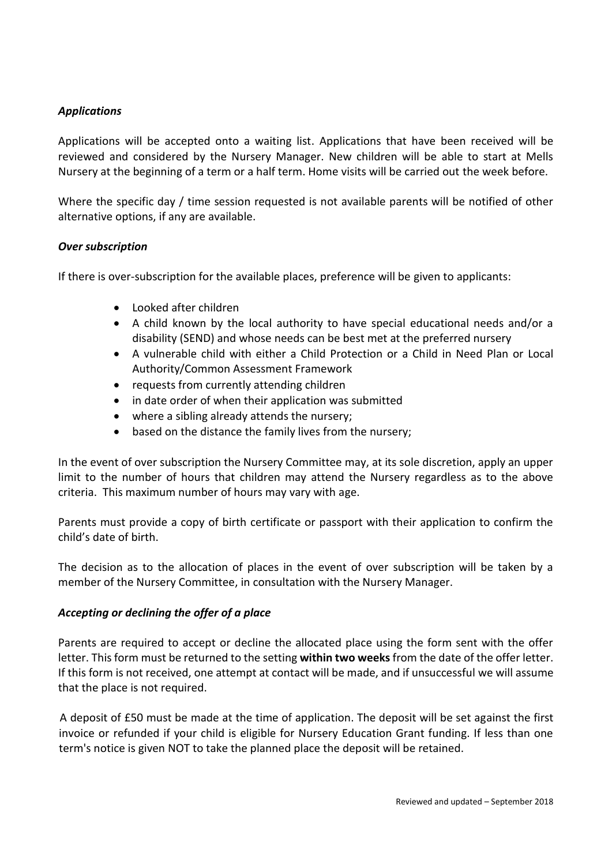# *Applications*

Applications will be accepted onto a waiting list. Applications that have been received will be reviewed and considered by the Nursery Manager. New children will be able to start at Mells Nursery at the beginning of a term or a half term. Home visits will be carried out the week before.

Where the specific day / time session requested is not available parents will be notified of other alternative options, if any are available.

# *Over subscription*

If there is over-subscription for the available places, preference will be given to applicants:

- Looked after children
- A child known by the local authority to have special educational needs and/or a disability (SEND) and whose needs can be best met at the preferred nursery
- A vulnerable child with either a Child Protection or a Child in Need Plan or Local Authority/Common Assessment Framework
- requests from currently attending children
- in date order of when their application was submitted
- where a sibling already attends the nursery;
- based on the distance the family lives from the nursery;

In the event of over subscription the Nursery Committee may, at its sole discretion, apply an upper limit to the number of hours that children may attend the Nursery regardless as to the above criteria. This maximum number of hours may vary with age.

Parents must provide a copy of birth certificate or passport with their application to confirm the child's date of birth.

The decision as to the allocation of places in the event of over subscription will be taken by a member of the Nursery Committee, in consultation with the Nursery Manager.

#### *Accepting or declining the offer of a place*

Parents are required to accept or decline the allocated place using the form sent with the offer letter. This form must be returned to the setting within two weeks from the date of the offer letter. If this form is not received, one attempt at contact will be made, and if unsuccessful we will assume that the place is not required.

A deposit of £50 must be made at the time of application. The deposit will be set against the first invoice or refunded if your child is eligible for Nursery Education Grant funding. If less than one term's notice is given NOT to take the planned place the deposit will be retained.